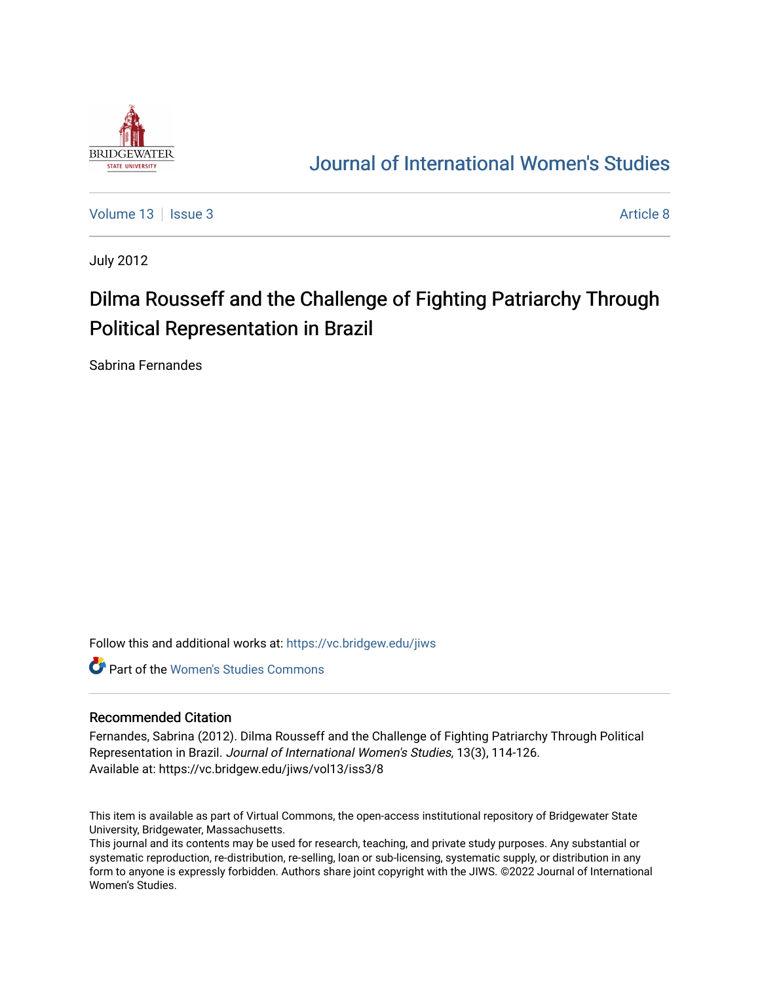

# [Journal of International Women's Studies](https://vc.bridgew.edu/jiws)

[Volume 13](https://vc.bridgew.edu/jiws/vol13) | [Issue 3](https://vc.bridgew.edu/jiws/vol13/iss3) Article 8

July 2012

# Dilma Rousseff and the Challenge of Fighting Patriarchy Through Political Representation in Brazil

Sabrina Fernandes

Follow this and additional works at: [https://vc.bridgew.edu/jiws](https://vc.bridgew.edu/jiws?utm_source=vc.bridgew.edu%2Fjiws%2Fvol13%2Fiss3%2F8&utm_medium=PDF&utm_campaign=PDFCoverPages)

**C** Part of the Women's Studies Commons

#### Recommended Citation

Fernandes, Sabrina (2012). Dilma Rousseff and the Challenge of Fighting Patriarchy Through Political Representation in Brazil. Journal of International Women's Studies, 13(3), 114-126. Available at: https://vc.bridgew.edu/jiws/vol13/iss3/8

This item is available as part of Virtual Commons, the open-access institutional repository of Bridgewater State University, Bridgewater, Massachusetts.

This journal and its contents may be used for research, teaching, and private study purposes. Any substantial or systematic reproduction, re-distribution, re-selling, loan or sub-licensing, systematic supply, or distribution in any form to anyone is expressly forbidden. Authors share joint copyright with the JIWS. ©2022 Journal of International Women's Studies.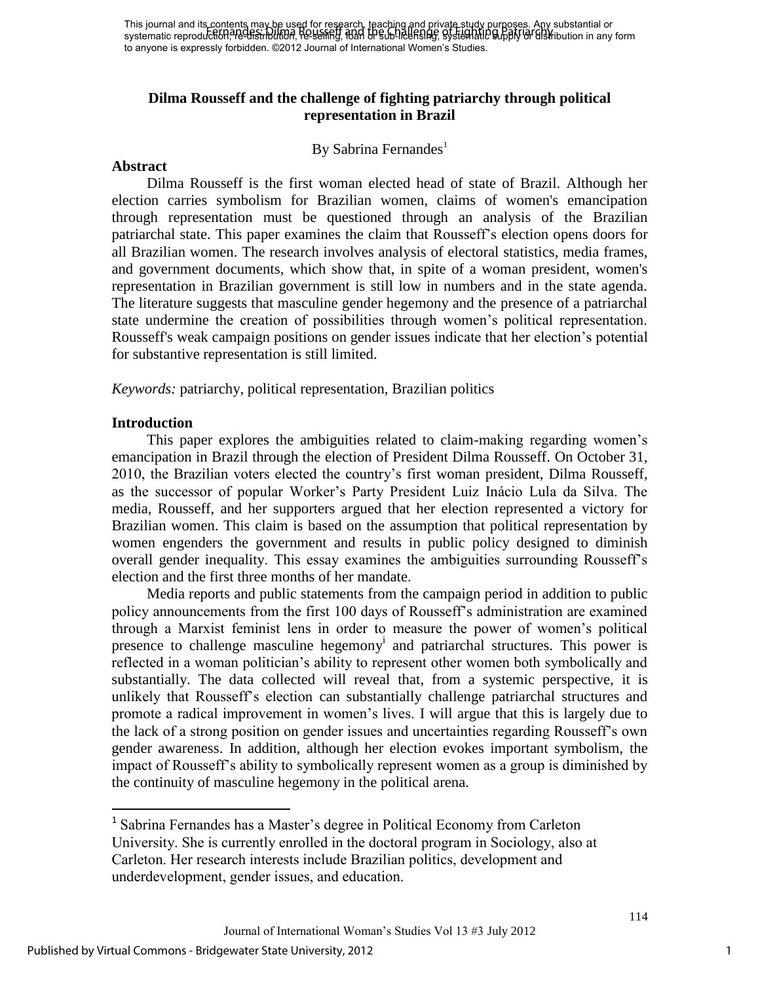# **Dilma Rousseff and the challenge of fighting patriarchy through political representation in Brazil**

### By Sabrina Fernandes<sup>1</sup>

#### **Abstract**

Dilma Rousseff is the first woman elected head of state of Brazil. Although her election carries symbolism for Brazilian women, claims of women's emancipation through representation must be questioned through an analysis of the Brazilian patriarchal state. This paper examines the claim that Rousseff"s election opens doors for all Brazilian women. The research involves analysis of electoral statistics, media frames, and government documents, which show that, in spite of a woman president, women's representation in Brazilian government is still low in numbers and in the state agenda. The literature suggests that masculine gender hegemony and the presence of a patriarchal state undermine the creation of possibilities through women"s political representation. Rousseff's weak campaign positions on gender issues indicate that her election"s potential for substantive representation is still limited.

*Keywords:* patriarchy, political representation, Brazilian politics

#### **Introduction**

This paper explores the ambiguities related to claim-making regarding women"s emancipation in Brazil through the election of President Dilma Rousseff. On October 31, 2010, the Brazilian voters elected the country"s first woman president, Dilma Rousseff, as the successor of popular Worker"s Party President Luiz Inácio Lula da Silva. The media, Rousseff, and her supporters argued that her election represented a victory for Brazilian women. This claim is based on the assumption that political representation by women engenders the government and results in public policy designed to diminish overall gender inequality. This essay examines the ambiguities surrounding Rousseff"s election and the first three months of her mandate.

Media reports and public statements from the campaign period in addition to public policy announcements from the first 100 days of Rousseff"s administration are examined through a Marxist feminist lens in order to measure the power of women"s political presence to challenge masculine hegemony<sup>i</sup> and patriarchal structures. This power is reflected in a woman politician"s ability to represent other women both symbolically and substantially. The data collected will reveal that, from a systemic perspective, it is unlikely that Rousseff"s election can substantially challenge patriarchal structures and promote a radical improvement in women"s lives. I will argue that this is largely due to the lack of a strong position on gender issues and uncertainties regarding Rousseff"s own gender awareness. In addition, although her election evokes important symbolism, the impact of Rousseff"s ability to symbolically represent women as a group is diminished by the continuity of masculine hegemony in the political arena.

 $\overline{\phantom{a}}$ 

<sup>&</sup>lt;sup>1</sup> Sabrina Fernandes has a Master's degree in Political Economy from Carleton University. She is currently enrolled in the doctoral program in Sociology, also at Carleton. Her research interests include Brazilian politics, development and underdevelopment, gender issues, and education.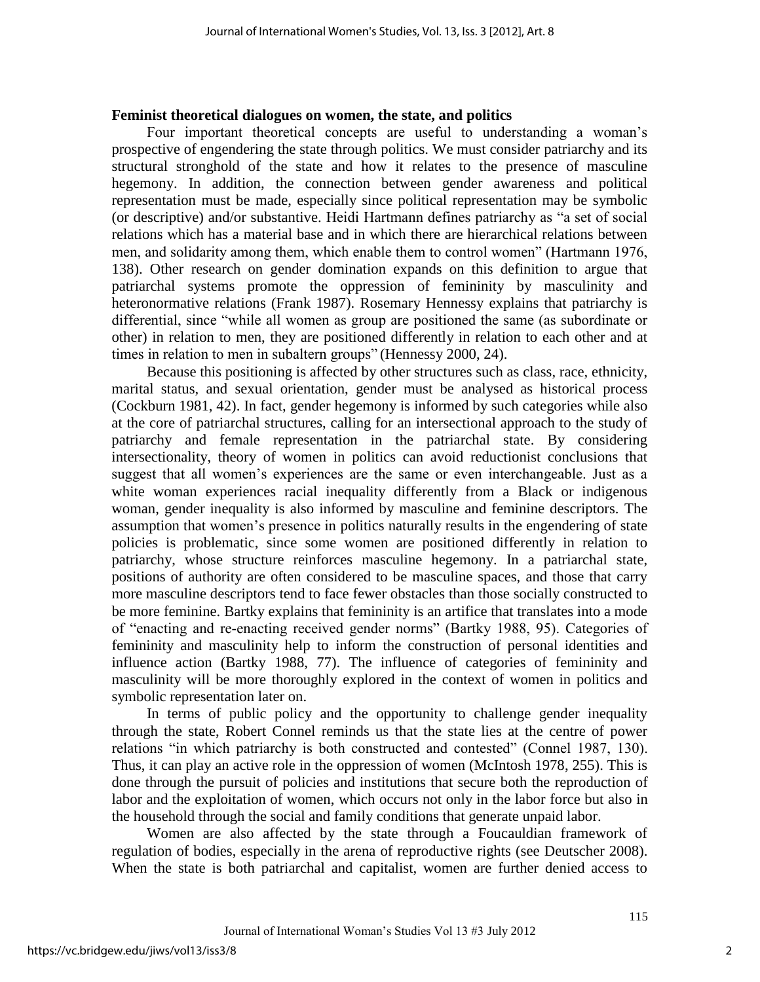#### **Feminist theoretical dialogues on women, the state, and politics**

Four important theoretical concepts are useful to understanding a woman"s prospective of engendering the state through politics. We must consider patriarchy and its structural stronghold of the state and how it relates to the presence of masculine hegemony. In addition, the connection between gender awareness and political representation must be made, especially since political representation may be symbolic (or descriptive) and/or substantive. Heidi Hartmann defines patriarchy as "a set of social relations which has a material base and in which there are hierarchical relations between men, and solidarity among them, which enable them to control women" (Hartmann 1976, 138). Other research on gender domination expands on this definition to argue that patriarchal systems promote the oppression of femininity by masculinity and heteronormative relations (Frank 1987). Rosemary Hennessy explains that patriarchy is differential, since "while all women as group are positioned the same (as subordinate or other) in relation to men, they are positioned differently in relation to each other and at times in relation to men in subaltern groups" (Hennessy 2000, 24).

Because this positioning is affected by other structures such as class, race, ethnicity, marital status, and sexual orientation, gender must be analysed as historical process (Cockburn 1981, 42). In fact, gender hegemony is informed by such categories while also at the core of patriarchal structures, calling for an intersectional approach to the study of patriarchy and female representation in the patriarchal state. By considering intersectionality, theory of women in politics can avoid reductionist conclusions that suggest that all women's experiences are the same or even interchangeable. Just as a white woman experiences racial inequality differently from a Black or indigenous woman, gender inequality is also informed by masculine and feminine descriptors. The assumption that women"s presence in politics naturally results in the engendering of state policies is problematic, since some women are positioned differently in relation to patriarchy, whose structure reinforces masculine hegemony. In a patriarchal state, positions of authority are often considered to be masculine spaces, and those that carry more masculine descriptors tend to face fewer obstacles than those socially constructed to be more feminine. Bartky explains that femininity is an artifice that translates into a mode of "enacting and re-enacting received gender norms" (Bartky 1988, 95). Categories of femininity and masculinity help to inform the construction of personal identities and influence action (Bartky 1988, 77). The influence of categories of femininity and masculinity will be more thoroughly explored in the context of women in politics and symbolic representation later on.

In terms of public policy and the opportunity to challenge gender inequality through the state, Robert Connel reminds us that the state lies at the centre of power relations "in which patriarchy is both constructed and contested" (Connel 1987, 130). Thus, it can play an active role in the oppression of women (McIntosh 1978, 255). This is done through the pursuit of policies and institutions that secure both the reproduction of labor and the exploitation of women, which occurs not only in the labor force but also in the household through the social and family conditions that generate unpaid labor.

Women are also affected by the state through a Foucauldian framework of regulation of bodies, especially in the arena of reproductive rights (see Deutscher 2008). When the state is both patriarchal and capitalist, women are further denied access to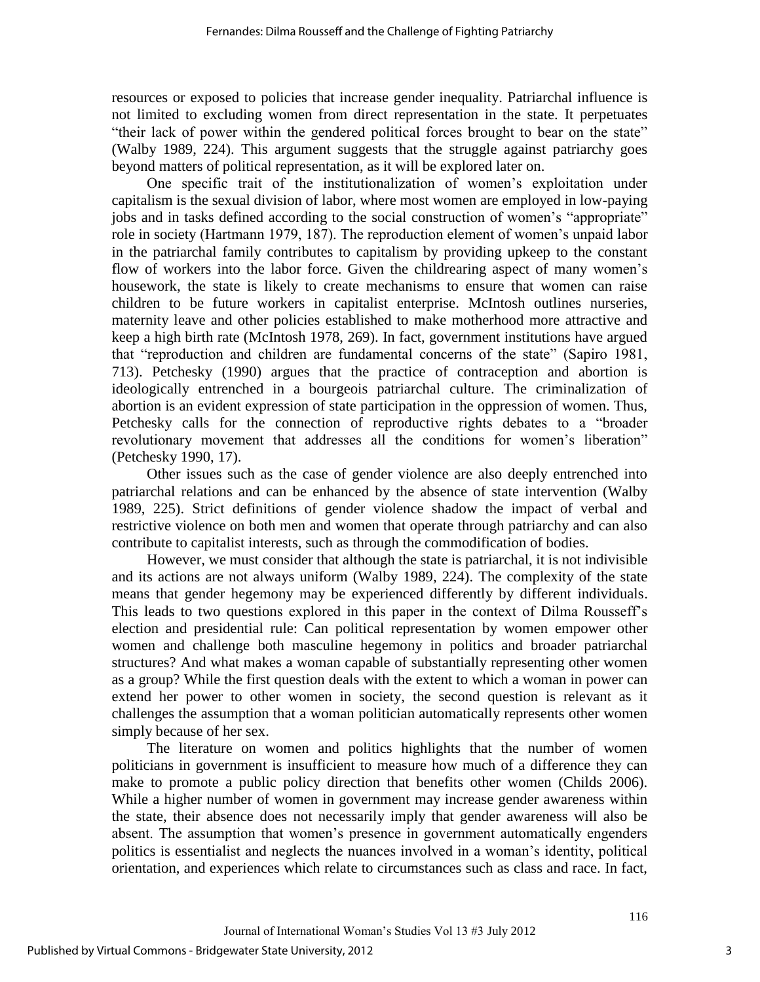resources or exposed to policies that increase gender inequality. Patriarchal influence is not limited to excluding women from direct representation in the state. It perpetuates "their lack of power within the gendered political forces brought to bear on the state" (Walby 1989, 224). This argument suggests that the struggle against patriarchy goes beyond matters of political representation, as it will be explored later on.

One specific trait of the institutionalization of women"s exploitation under capitalism is the sexual division of labor, where most women are employed in low-paying jobs and in tasks defined according to the social construction of women's "appropriate" role in society (Hartmann 1979, 187). The reproduction element of women"s unpaid labor in the patriarchal family contributes to capitalism by providing upkeep to the constant flow of workers into the labor force. Given the childrearing aspect of many women's housework, the state is likely to create mechanisms to ensure that women can raise children to be future workers in capitalist enterprise. McIntosh outlines nurseries, maternity leave and other policies established to make motherhood more attractive and keep a high birth rate (McIntosh 1978, 269). In fact, government institutions have argued that "reproduction and children are fundamental concerns of the state" (Sapiro 1981, 713). Petchesky (1990) argues that the practice of contraception and abortion is ideologically entrenched in a bourgeois patriarchal culture. The criminalization of abortion is an evident expression of state participation in the oppression of women. Thus, Petchesky calls for the connection of reproductive rights debates to a "broader revolutionary movement that addresses all the conditions for women"s liberation" (Petchesky 1990, 17).

Other issues such as the case of gender violence are also deeply entrenched into patriarchal relations and can be enhanced by the absence of state intervention (Walby 1989, 225). Strict definitions of gender violence shadow the impact of verbal and restrictive violence on both men and women that operate through patriarchy and can also contribute to capitalist interests, such as through the commodification of bodies.

However, we must consider that although the state is patriarchal, it is not indivisible and its actions are not always uniform (Walby 1989, 224). The complexity of the state means that gender hegemony may be experienced differently by different individuals. This leads to two questions explored in this paper in the context of Dilma Rousseff"s election and presidential rule: Can political representation by women empower other women and challenge both masculine hegemony in politics and broader patriarchal structures? And what makes a woman capable of substantially representing other women as a group? While the first question deals with the extent to which a woman in power can extend her power to other women in society, the second question is relevant as it challenges the assumption that a woman politician automatically represents other women simply because of her sex.

The literature on women and politics highlights that the number of women politicians in government is insufficient to measure how much of a difference they can make to promote a public policy direction that benefits other women (Childs 2006). While a higher number of women in government may increase gender awareness within the state, their absence does not necessarily imply that gender awareness will also be absent. The assumption that women's presence in government automatically engenders politics is essentialist and neglects the nuances involved in a woman"s identity, political orientation, and experiences which relate to circumstances such as class and race. In fact,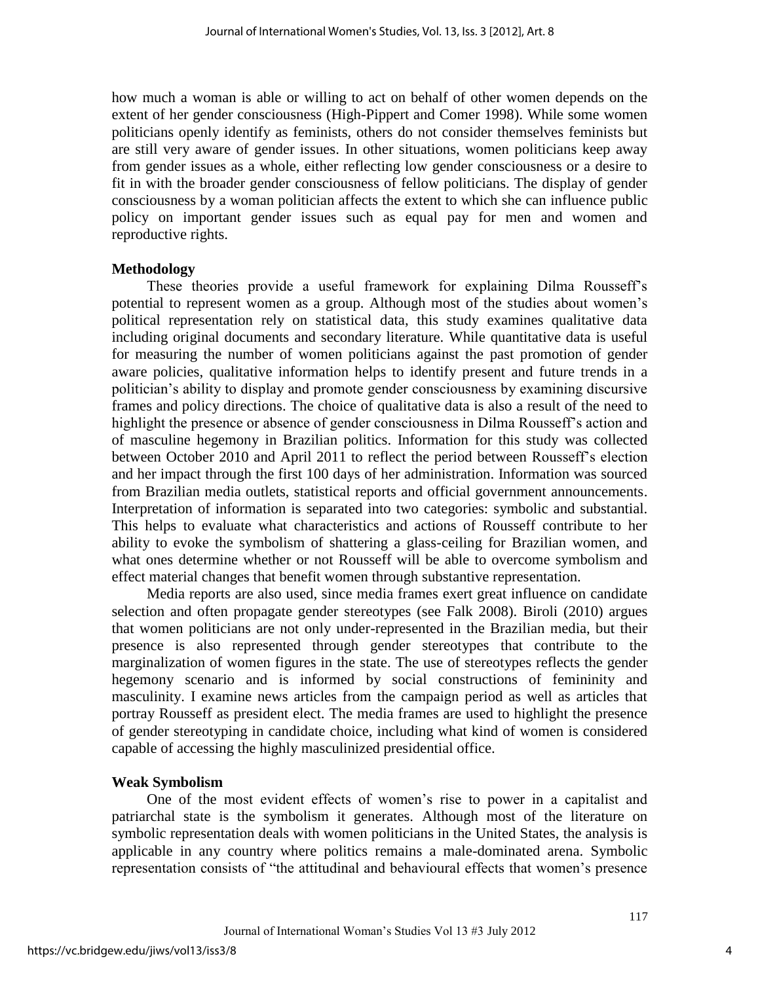how much a woman is able or willing to act on behalf of other women depends on the extent of her gender consciousness (High-Pippert and Comer 1998). While some women politicians openly identify as feminists, others do not consider themselves feminists but are still very aware of gender issues. In other situations, women politicians keep away from gender issues as a whole, either reflecting low gender consciousness or a desire to fit in with the broader gender consciousness of fellow politicians. The display of gender consciousness by a woman politician affects the extent to which she can influence public policy on important gender issues such as equal pay for men and women and reproductive rights.

#### **Methodology**

These theories provide a useful framework for explaining Dilma Rousseff"s potential to represent women as a group. Although most of the studies about women"s political representation rely on statistical data, this study examines qualitative data including original documents and secondary literature. While quantitative data is useful for measuring the number of women politicians against the past promotion of gender aware policies, qualitative information helps to identify present and future trends in a politician"s ability to display and promote gender consciousness by examining discursive frames and policy directions. The choice of qualitative data is also a result of the need to highlight the presence or absence of gender consciousness in Dilma Rousseff"s action and of masculine hegemony in Brazilian politics. Information for this study was collected between October 2010 and April 2011 to reflect the period between Rousseff's election and her impact through the first 100 days of her administration. Information was sourced from Brazilian media outlets, statistical reports and official government announcements. Interpretation of information is separated into two categories: symbolic and substantial. This helps to evaluate what characteristics and actions of Rousseff contribute to her ability to evoke the symbolism of shattering a glass-ceiling for Brazilian women, and what ones determine whether or not Rousseff will be able to overcome symbolism and effect material changes that benefit women through substantive representation.

Media reports are also used, since media frames exert great influence on candidate selection and often propagate gender stereotypes (see Falk 2008). Biroli (2010) argues that women politicians are not only under-represented in the Brazilian media, but their presence is also represented through gender stereotypes that contribute to the marginalization of women figures in the state. The use of stereotypes reflects the gender hegemony scenario and is informed by social constructions of femininity and masculinity. I examine news articles from the campaign period as well as articles that portray Rousseff as president elect. The media frames are used to highlight the presence of gender stereotyping in candidate choice, including what kind of women is considered capable of accessing the highly masculinized presidential office.

# **Weak Symbolism**

One of the most evident effects of women"s rise to power in a capitalist and patriarchal state is the symbolism it generates. Although most of the literature on symbolic representation deals with women politicians in the United States, the analysis is applicable in any country where politics remains a male-dominated arena. Symbolic representation consists of "the attitudinal and behavioural effects that women"s presence

4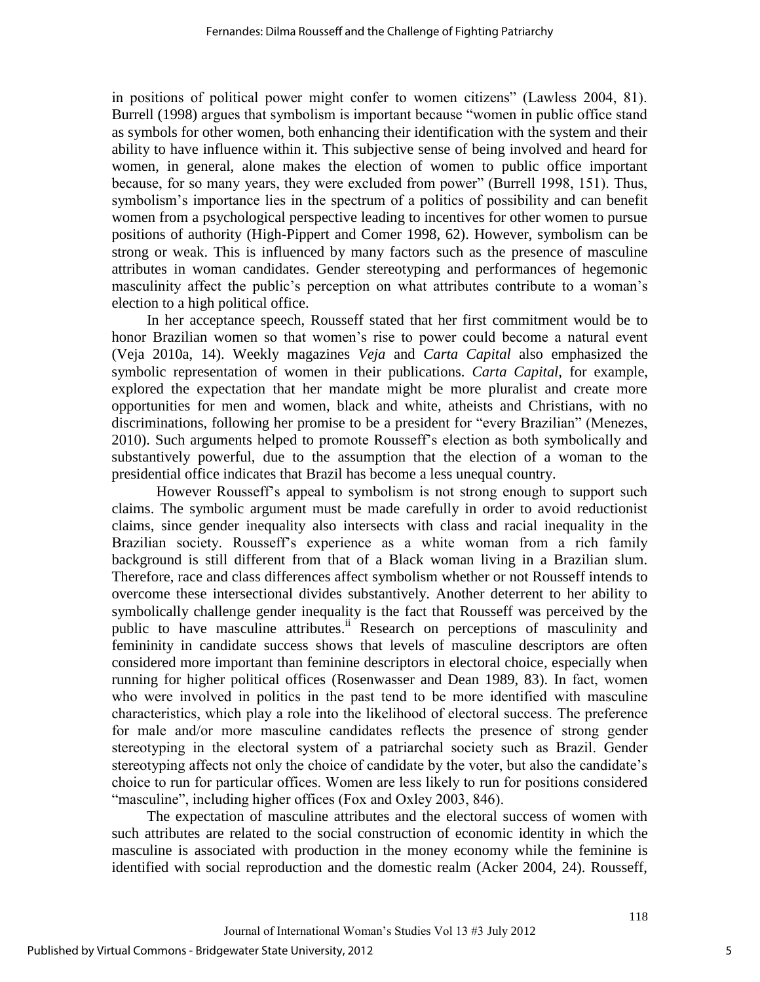in positions of political power might confer to women citizens" (Lawless 2004, 81). Burrell (1998) argues that symbolism is important because "women in public office stand as symbols for other women, both enhancing their identification with the system and their ability to have influence within it. This subjective sense of being involved and heard for women, in general, alone makes the election of women to public office important because, for so many years, they were excluded from power" (Burrell 1998, 151). Thus, symbolism's importance lies in the spectrum of a politics of possibility and can benefit women from a psychological perspective leading to incentives for other women to pursue positions of authority (High-Pippert and Comer 1998, 62). However, symbolism can be strong or weak. This is influenced by many factors such as the presence of masculine attributes in woman candidates. Gender stereotyping and performances of hegemonic masculinity affect the public's perception on what attributes contribute to a woman's election to a high political office.

In her acceptance speech, Rousseff stated that her first commitment would be to honor Brazilian women so that women"s rise to power could become a natural event (Veja 2010a, 14). Weekly magazines *Veja* and *Carta Capital* also emphasized the symbolic representation of women in their publications. *Carta Capital,* for example, explored the expectation that her mandate might be more pluralist and create more opportunities for men and women, black and white, atheists and Christians, with no discriminations, following her promise to be a president for "every Brazilian" (Menezes, 2010). Such arguments helped to promote Rousseff"s election as both symbolically and substantively powerful, due to the assumption that the election of a woman to the presidential office indicates that Brazil has become a less unequal country.

However Rousseff"s appeal to symbolism is not strong enough to support such claims. The symbolic argument must be made carefully in order to avoid reductionist claims, since gender inequality also intersects with class and racial inequality in the Brazilian society. Rousseff's experience as a white woman from a rich family background is still different from that of a Black woman living in a Brazilian slum. Therefore, race and class differences affect symbolism whether or not Rousseff intends to overcome these intersectional divides substantively. Another deterrent to her ability to symbolically challenge gender inequality is the fact that Rousseff was perceived by the public to have masculine attributes.<sup>ii</sup> Research on perceptions of masculinity and femininity in candidate success shows that levels of masculine descriptors are often considered more important than feminine descriptors in electoral choice, especially when running for higher political offices (Rosenwasser and Dean 1989, 83). In fact, women who were involved in politics in the past tend to be more identified with masculine characteristics, which play a role into the likelihood of electoral success. The preference for male and/or more masculine candidates reflects the presence of strong gender stereotyping in the electoral system of a patriarchal society such as Brazil. Gender stereotyping affects not only the choice of candidate by the voter, but also the candidate's choice to run for particular offices. Women are less likely to run for positions considered "masculine", including higher offices (Fox and Oxley 2003, 846).

The expectation of masculine attributes and the electoral success of women with such attributes are related to the social construction of economic identity in which the masculine is associated with production in the money economy while the feminine is identified with social reproduction and the domestic realm (Acker 2004, 24). Rousseff,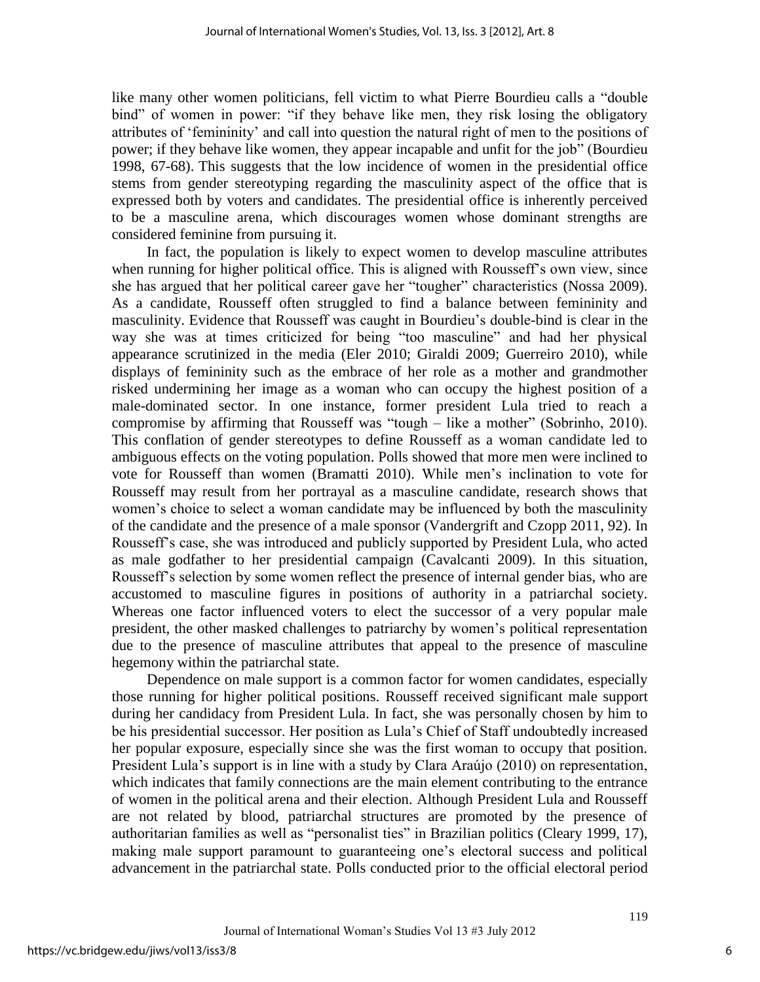like many other women politicians, fell victim to what Pierre Bourdieu calls a "double bind" of women in power: "if they behave like men, they risk losing the obligatory attributes of "femininity" and call into question the natural right of men to the positions of power; if they behave like women, they appear incapable and unfit for the job" (Bourdieu 1998, 67-68). This suggests that the low incidence of women in the presidential office stems from gender stereotyping regarding the masculinity aspect of the office that is expressed both by voters and candidates. The presidential office is inherently perceived to be a masculine arena, which discourages women whose dominant strengths are considered feminine from pursuing it.

In fact, the population is likely to expect women to develop masculine attributes when running for higher political office. This is aligned with Rousseff's own view, since she has argued that her political career gave her "tougher" characteristics (Nossa 2009). As a candidate, Rousseff often struggled to find a balance between femininity and masculinity. Evidence that Rousseff was caught in Bourdieu"s double-bind is clear in the way she was at times criticized for being "too masculine" and had her physical appearance scrutinized in the media (Eler 2010; Giraldi 2009; Guerreiro 2010), while displays of femininity such as the embrace of her role as a mother and grandmother risked undermining her image as a woman who can occupy the highest position of a male-dominated sector. In one instance, former president Lula tried to reach a compromise by affirming that Rousseff was "tough – like a mother" (Sobrinho, 2010). This conflation of gender stereotypes to define Rousseff as a woman candidate led to ambiguous effects on the voting population. Polls showed that more men were inclined to vote for Rousseff than women (Bramatti 2010). While men"s inclination to vote for Rousseff may result from her portrayal as a masculine candidate, research shows that women's choice to select a woman candidate may be influenced by both the masculinity of the candidate and the presence of a male sponsor (Vandergrift and Czopp 2011, 92). In Rousseff"s case, she was introduced and publicly supported by President Lula, who acted as male godfather to her presidential campaign (Cavalcanti 2009). In this situation, Rousseff"s selection by some women reflect the presence of internal gender bias, who are accustomed to masculine figures in positions of authority in a patriarchal society. Whereas one factor influenced voters to elect the successor of a very popular male president, the other masked challenges to patriarchy by women"s political representation due to the presence of masculine attributes that appeal to the presence of masculine hegemony within the patriarchal state.

Dependence on male support is a common factor for women candidates, especially those running for higher political positions. Rousseff received significant male support during her candidacy from President Lula. In fact, she was personally chosen by him to be his presidential successor. Her position as Lula"s Chief of Staff undoubtedly increased her popular exposure, especially since she was the first woman to occupy that position. President Lula's support is in line with a study by Clara Araújo (2010) on representation, which indicates that family connections are the main element contributing to the entrance of women in the political arena and their election. Although President Lula and Rousseff are not related by blood, patriarchal structures are promoted by the presence of authoritarian families as well as "personalist ties" in Brazilian politics (Cleary 1999, 17), making male support paramount to guaranteeing one"s electoral success and political advancement in the patriarchal state. Polls conducted prior to the official electoral period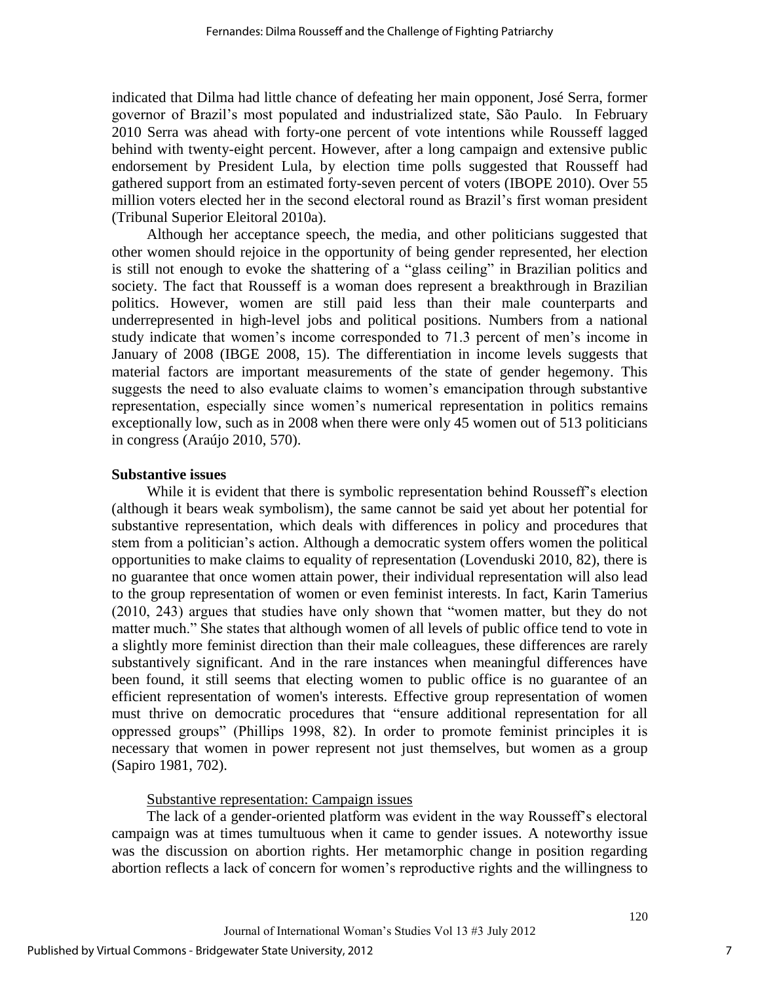indicated that Dilma had little chance of defeating her main opponent, José Serra, former governor of Brazil"s most populated and industrialized state, São Paulo. In February 2010 Serra was ahead with forty-one percent of vote intentions while Rousseff lagged behind with twenty-eight percent. However, after a long campaign and extensive public endorsement by President Lula, by election time polls suggested that Rousseff had gathered support from an estimated forty-seven percent of voters (IBOPE 2010). Over 55 million voters elected her in the second electoral round as Brazil"s first woman president (Tribunal Superior Eleitoral 2010a).

Although her acceptance speech, the media, and other politicians suggested that other women should rejoice in the opportunity of being gender represented, her election is still not enough to evoke the shattering of a "glass ceiling" in Brazilian politics and society. The fact that Rousseff is a woman does represent a breakthrough in Brazilian politics. However, women are still paid less than their male counterparts and underrepresented in high-level jobs and political positions. Numbers from a national study indicate that women's income corresponded to 71.3 percent of men's income in January of 2008 (IBGE 2008, 15). The differentiation in income levels suggests that material factors are important measurements of the state of gender hegemony. This suggests the need to also evaluate claims to women's emancipation through substantive representation, especially since women"s numerical representation in politics remains exceptionally low, such as in 2008 when there were only 45 women out of 513 politicians in congress (Araújo 2010, 570).

#### **Substantive issues**

While it is evident that there is symbolic representation behind Rousseff"s election (although it bears weak symbolism), the same cannot be said yet about her potential for substantive representation, which deals with differences in policy and procedures that stem from a politician's action. Although a democratic system offers women the political opportunities to make claims to equality of representation (Lovenduski 2010, 82), there is no guarantee that once women attain power, their individual representation will also lead to the group representation of women or even feminist interests. In fact, Karin Tamerius (2010, 243) argues that studies have only shown that "women matter, but they do not matter much." She states that although women of all levels of public office tend to vote in a slightly more feminist direction than their male colleagues, these differences are rarely substantively significant. And in the rare instances when meaningful differences have been found, it still seems that electing women to public office is no guarantee of an efficient representation of women's interests. Effective group representation of women must thrive on democratic procedures that "ensure additional representation for all oppressed groups" (Phillips 1998, 82). In order to promote feminist principles it is necessary that women in power represent not just themselves, but women as a group (Sapiro 1981, 702).

#### Substantive representation: Campaign issues

The lack of a gender-oriented platform was evident in the way Rousseff"s electoral campaign was at times tumultuous when it came to gender issues. A noteworthy issue was the discussion on abortion rights. Her metamorphic change in position regarding abortion reflects a lack of concern for women"s reproductive rights and the willingness to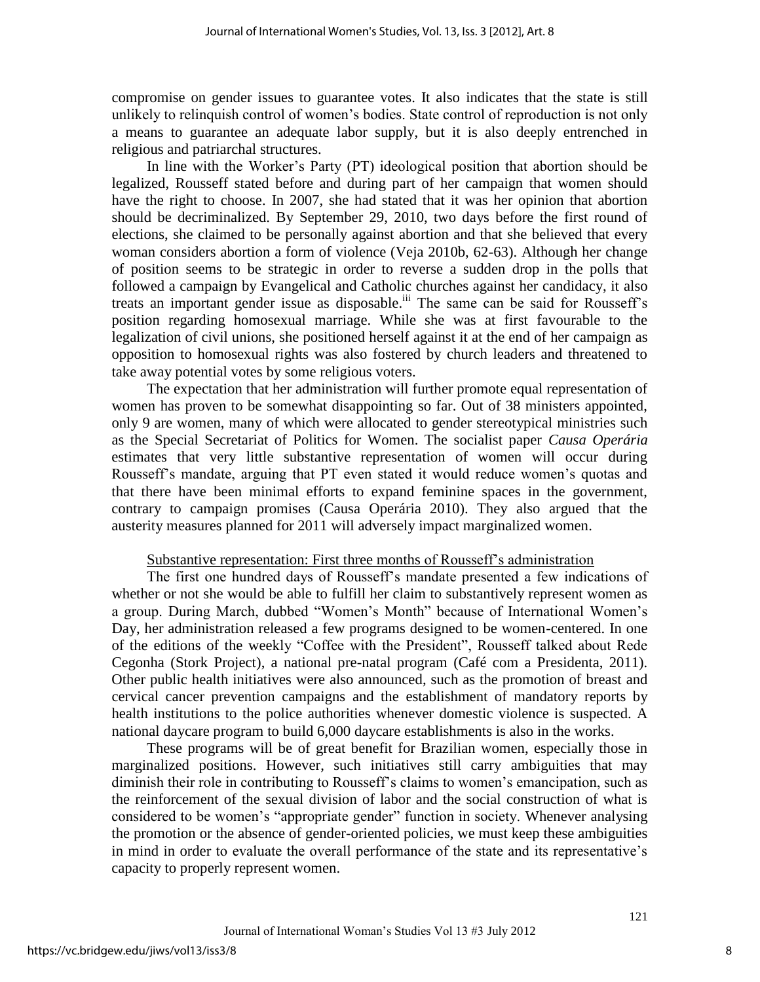compromise on gender issues to guarantee votes. It also indicates that the state is still unlikely to relinquish control of women"s bodies. State control of reproduction is not only a means to guarantee an adequate labor supply, but it is also deeply entrenched in religious and patriarchal structures.

In line with the Worker"s Party (PT) ideological position that abortion should be legalized, Rousseff stated before and during part of her campaign that women should have the right to choose. In 2007, she had stated that it was her opinion that abortion should be decriminalized. By September 29, 2010, two days before the first round of elections, she claimed to be personally against abortion and that she believed that every woman considers abortion a form of violence (Veja 2010b, 62-63). Although her change of position seems to be strategic in order to reverse a sudden drop in the polls that followed a campaign by Evangelical and Catholic churches against her candidacy, it also treats an important gender issue as disposable.<sup>iii</sup> The same can be said for Rousseff's position regarding homosexual marriage. While she was at first favourable to the legalization of civil unions, she positioned herself against it at the end of her campaign as opposition to homosexual rights was also fostered by church leaders and threatened to take away potential votes by some religious voters.

The expectation that her administration will further promote equal representation of women has proven to be somewhat disappointing so far. Out of 38 ministers appointed, only 9 are women, many of which were allocated to gender stereotypical ministries such as the Special Secretariat of Politics for Women. The socialist paper *Causa Operária* estimates that very little substantive representation of women will occur during Rousseff"s mandate, arguing that PT even stated it would reduce women"s quotas and that there have been minimal efforts to expand feminine spaces in the government, contrary to campaign promises (Causa Operária 2010). They also argued that the austerity measures planned for 2011 will adversely impact marginalized women.

#### Substantive representation: First three months of Rousseff"s administration

The first one hundred days of Rousseff"s mandate presented a few indications of whether or not she would be able to fulfill her claim to substantively represent women as a group. During March, dubbed "Women"s Month" because of International Women"s Day, her administration released a few programs designed to be women-centered. In one of the editions of the weekly "Coffee with the President", Rousseff talked about Rede Cegonha (Stork Project), a national pre-natal program (Café com a Presidenta, 2011). Other public health initiatives were also announced, such as the promotion of breast and cervical cancer prevention campaigns and the establishment of mandatory reports by health institutions to the police authorities whenever domestic violence is suspected. A national daycare program to build 6,000 daycare establishments is also in the works.

These programs will be of great benefit for Brazilian women, especially those in marginalized positions. However, such initiatives still carry ambiguities that may diminish their role in contributing to Rousseff"s claims to women"s emancipation, such as the reinforcement of the sexual division of labor and the social construction of what is considered to be women"s "appropriate gender" function in society. Whenever analysing the promotion or the absence of gender-oriented policies, we must keep these ambiguities in mind in order to evaluate the overall performance of the state and its representative"s capacity to properly represent women.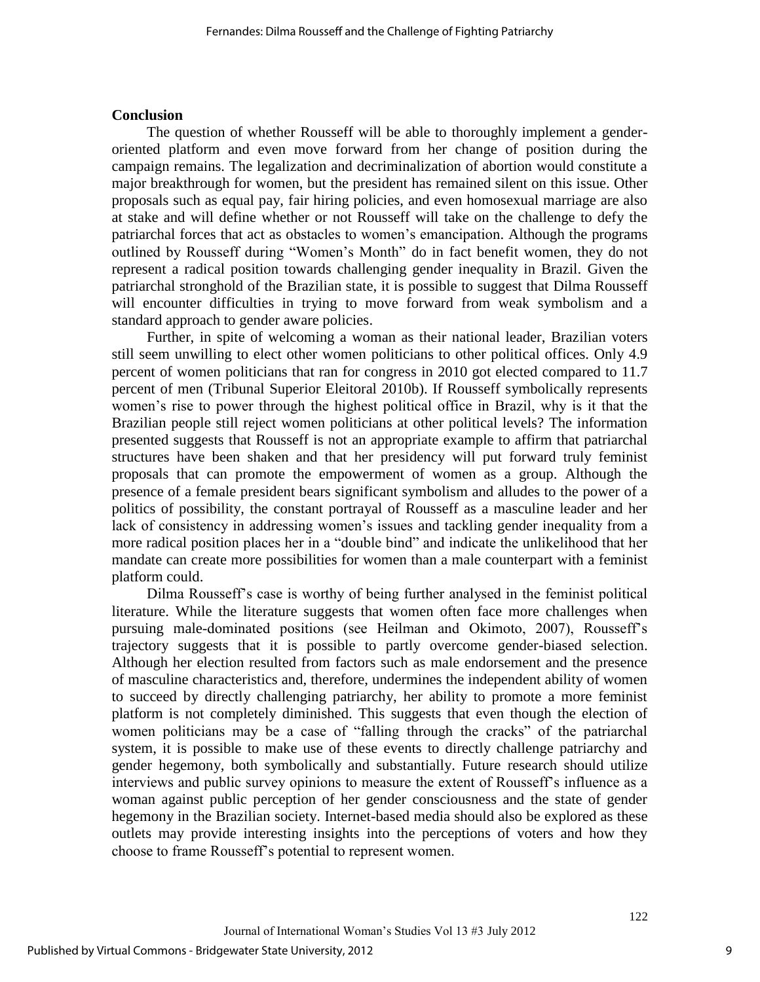#### **Conclusion**

The question of whether Rousseff will be able to thoroughly implement a genderoriented platform and even move forward from her change of position during the campaign remains. The legalization and decriminalization of abortion would constitute a major breakthrough for women, but the president has remained silent on this issue. Other proposals such as equal pay, fair hiring policies, and even homosexual marriage are also at stake and will define whether or not Rousseff will take on the challenge to defy the patriarchal forces that act as obstacles to women"s emancipation. Although the programs outlined by Rousseff during "Women"s Month" do in fact benefit women, they do not represent a radical position towards challenging gender inequality in Brazil. Given the patriarchal stronghold of the Brazilian state, it is possible to suggest that Dilma Rousseff will encounter difficulties in trying to move forward from weak symbolism and a standard approach to gender aware policies.

Further, in spite of welcoming a woman as their national leader, Brazilian voters still seem unwilling to elect other women politicians to other political offices. Only 4.9 percent of women politicians that ran for congress in 2010 got elected compared to 11.7 percent of men (Tribunal Superior Eleitoral 2010b). If Rousseff symbolically represents women"s rise to power through the highest political office in Brazil, why is it that the Brazilian people still reject women politicians at other political levels? The information presented suggests that Rousseff is not an appropriate example to affirm that patriarchal structures have been shaken and that her presidency will put forward truly feminist proposals that can promote the empowerment of women as a group. Although the presence of a female president bears significant symbolism and alludes to the power of a politics of possibility, the constant portrayal of Rousseff as a masculine leader and her lack of consistency in addressing women's issues and tackling gender inequality from a more radical position places her in a "double bind" and indicate the unlikelihood that her mandate can create more possibilities for women than a male counterpart with a feminist platform could.

Dilma Rousseff"s case is worthy of being further analysed in the feminist political literature. While the literature suggests that women often face more challenges when pursuing male-dominated positions (see Heilman and Okimoto, 2007), Rousseff"s trajectory suggests that it is possible to partly overcome gender-biased selection. Although her election resulted from factors such as male endorsement and the presence of masculine characteristics and, therefore, undermines the independent ability of women to succeed by directly challenging patriarchy, her ability to promote a more feminist platform is not completely diminished. This suggests that even though the election of women politicians may be a case of "falling through the cracks" of the patriarchal system, it is possible to make use of these events to directly challenge patriarchy and gender hegemony, both symbolically and substantially. Future research should utilize interviews and public survey opinions to measure the extent of Rousseff"s influence as a woman against public perception of her gender consciousness and the state of gender hegemony in the Brazilian society. Internet-based media should also be explored as these outlets may provide interesting insights into the perceptions of voters and how they choose to frame Rousseff"s potential to represent women.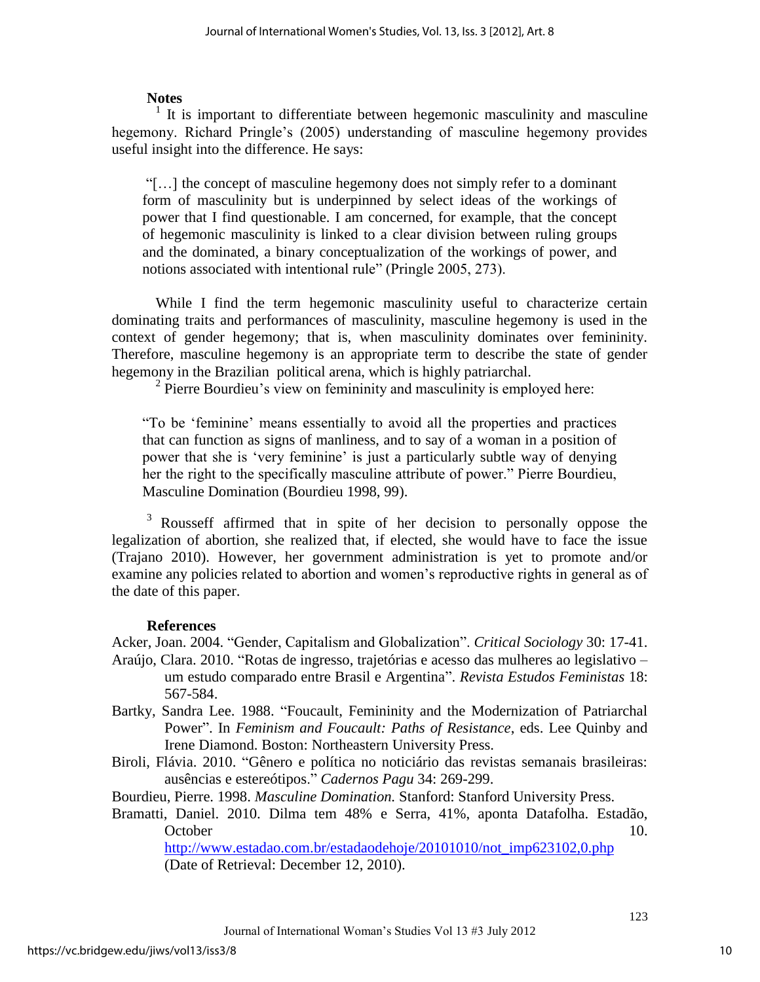# **Notes**

1 It is important to differentiate between hegemonic masculinity and masculine hegemony. Richard Pringle's (2005) understanding of masculine hegemony provides useful insight into the difference. He says:

"[…] the concept of masculine hegemony does not simply refer to a dominant form of masculinity but is underpinned by select ideas of the workings of power that I find questionable. I am concerned, for example, that the concept of hegemonic masculinity is linked to a clear division between ruling groups and the dominated, a binary conceptualization of the workings of power, and notions associated with intentional rule" (Pringle 2005, 273).

While I find the term hegemonic masculinity useful to characterize certain dominating traits and performances of masculinity, masculine hegemony is used in the context of gender hegemony; that is, when masculinity dominates over femininity. Therefore, masculine hegemony is an appropriate term to describe the state of gender hegemony in the Brazilian political arena, which is highly patriarchal.

<sup>2</sup> Pierre Bourdieu's view on femininity and masculinity is employed here:

"To be "feminine" means essentially to avoid all the properties and practices that can function as signs of manliness, and to say of a woman in a position of power that she is "very feminine" is just a particularly subtle way of denying her the right to the specifically masculine attribute of power." Pierre Bourdieu, Masculine Domination (Bourdieu 1998, 99).

<sup>3</sup> Rousseff affirmed that in spite of her decision to personally oppose the legalization of abortion, she realized that, if elected, she would have to face the issue (Trajano 2010). However, her government administration is yet to promote and/or examine any policies related to abortion and women's reproductive rights in general as of the date of this paper.

# **References**

Acker, Joan. 2004. "Gender, Capitalism and Globalization". *Critical Sociology* 30: 17-41. Araújo, Clara. 2010. "Rotas de ingresso, trajetórias e acesso das mulheres ao legislativo – um estudo comparado entre Brasil e Argentina". *Revista Estudos Feministas* 18: 567-584.

- Bartky, Sandra Lee. 1988. "Foucault, Femininity and the Modernization of Patriarchal Power". In *Feminism and Foucault: Paths of Resistance*, eds. Lee Quinby and Irene Diamond. Boston: Northeastern University Press.
- Biroli, Flávia. 2010. "Gênero e política no noticiário das revistas semanais brasileiras: ausências e estereótipos." *Cadernos Pagu* 34: 269-299.

Bourdieu, Pierre. 1998. *Masculine Domination.* Stanford: Stanford University Press.

Bramatti, Daniel. 2010. Dilma tem 48% e Serra, 41%, aponta Datafolha. Estadão, October 10.

[http://www.estadao.com.br/estadaodehoje/20101010/not\\_imp623102,0.php](http://www.estadao.com.br/estadaodehoje/20101010/not_imp623102,0.php) (Date of Retrieval: December 12, 2010).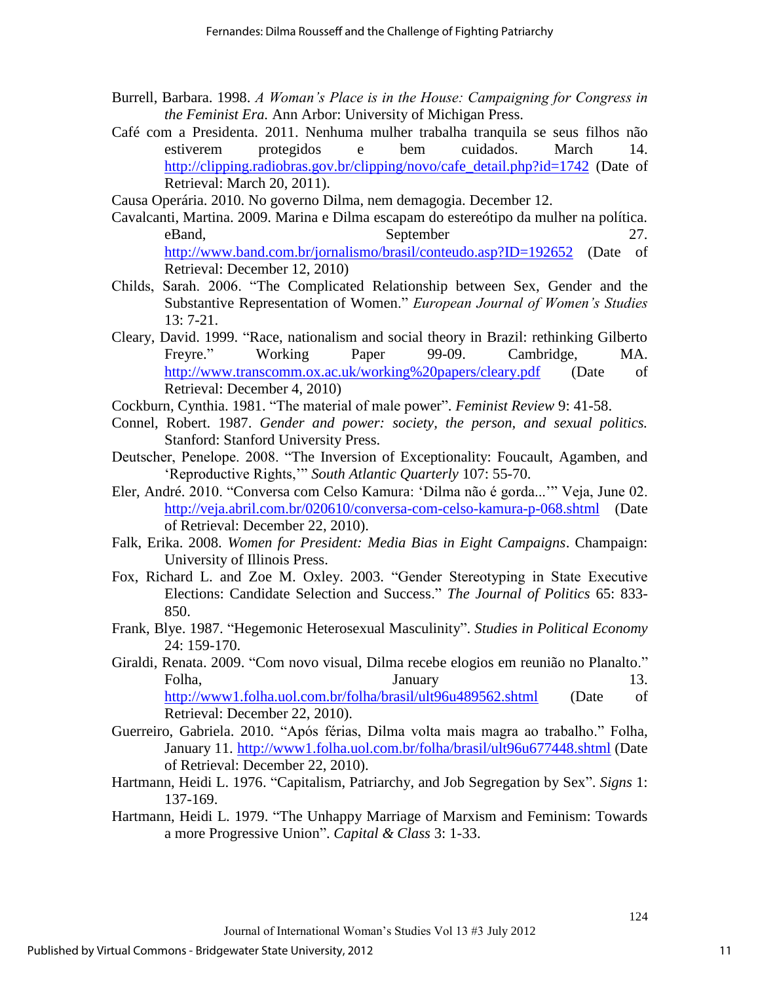- Burrell, Barbara. 1998. *A Woman's Place is in the House: Campaigning for Congress in the Feminist Era.* Ann Arbor: University of Michigan Press.
- Café com a Presidenta. 2011. Nenhuma mulher trabalha tranquila se seus filhos não estiverem protegidos e bem cuidados. March 14. [http://clipping.radiobras.gov.br/clipping/novo/cafe\\_detail.php?id=1742](http://clipping.radiobras.gov.br/clipping/novo/cafe_detail.php?id=1742) (Date of Retrieval: March 20, 2011).

Causa Operária. 2010. No governo Dilma, nem demagogia. December 12.

- Cavalcanti, Martina. 2009. Marina e Dilma escapam do estereótipo da mulher na política. eBand, September 27. <http://www.band.com.br/jornalismo/brasil/conteudo.asp?ID=192652>(Date of Retrieval: December 12, 2010)
- Childs, Sarah. 2006. "The Complicated Relationship between Sex, Gender and the Substantive Representation of Women." *European Journal of Women's Studies* 13: 7-21.
- Cleary, David. 1999. "Race, nationalism and social theory in Brazil: rethinking Gilberto Freyre." Working Paper 99-09. Cambridge, MA. <http://www.transcomm.ox.ac.uk/working%20papers/cleary.pdf>(Date of Retrieval: December 4, 2010)
- Cockburn, Cynthia. 1981. "The material of male power". *Feminist Review* 9: 41-58.
- Connel, Robert. 1987. *Gender and power: society, the person, and sexual politics.* Stanford: Stanford University Press.
- Deutscher, Penelope. 2008. "The Inversion of Exceptionality: Foucault, Agamben, and "Reproductive Rights,"" *South Atlantic Quarterly* 107: 55-70.
- Eler, André. 2010. "Conversa com Celso Kamura: "Dilma não é gorda..."" Veja, June 02. <http://veja.abril.com.br/020610/conversa-com-celso-kamura-p-068.shtml>(Date of Retrieval: December 22, 2010).
- Falk, Erika. 2008. *Women for President: Media Bias in Eight Campaigns*. Champaign: University of Illinois Press.
- Fox, Richard L. and Zoe M. Oxley. 2003. "Gender Stereotyping in State Executive Elections: Candidate Selection and Success." *The Journal of Politics* 65: 833- 850.
- Frank, Blye. 1987. "Hegemonic Heterosexual Masculinity". *Studies in Political Economy* 24: 159-170.
- Giraldi, Renata. 2009. "Com novo visual, Dilma recebe elogios em reunião no Planalto." Folha, January 13. <http://www1.folha.uol.com.br/folha/brasil/ult96u489562.shtml>(Date of Retrieval: December 22, 2010).
- Guerreiro, Gabriela. 2010. "Após férias, Dilma volta mais magra ao trabalho." Folha, January 11.<http://www1.folha.uol.com.br/folha/brasil/ult96u677448.shtml> (Date of Retrieval: December 22, 2010).
- Hartmann, Heidi L. 1976. "Capitalism, Patriarchy, and Job Segregation by Sex". *Signs* 1: 137-169.
- Hartmann, Heidi L. 1979. "The Unhappy Marriage of Marxism and Feminism: Towards a more Progressive Union". *Capital & Class* 3: 1-33.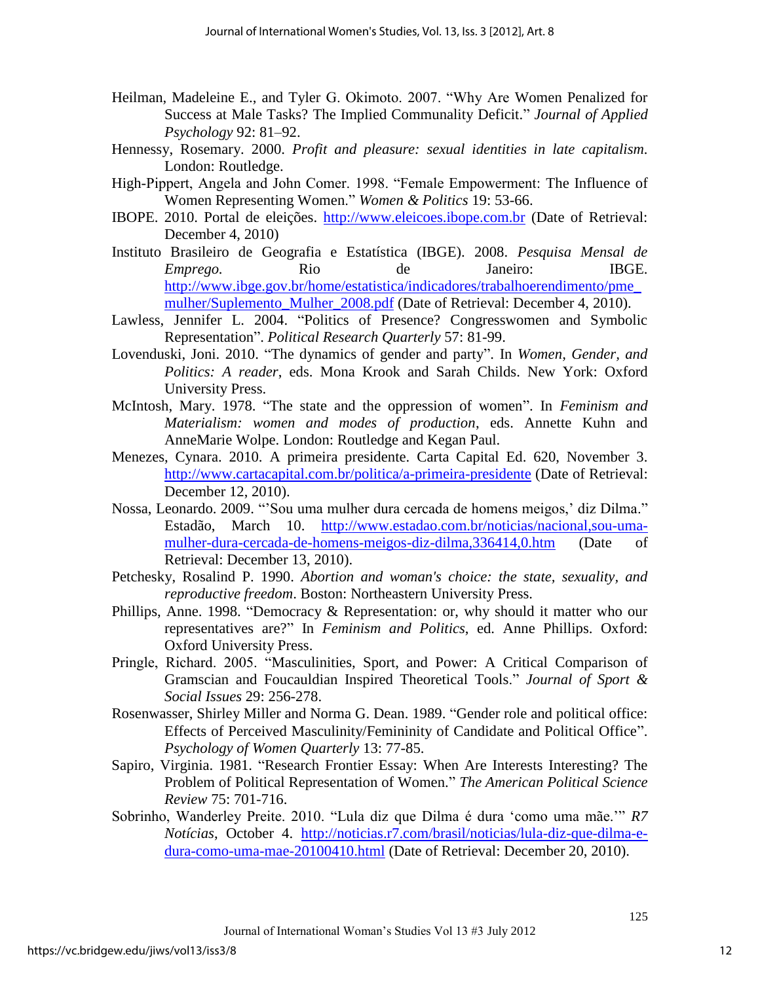- Heilman, Madeleine E., and Tyler G. Okimoto. 2007. "Why Are Women Penalized for Success at Male Tasks? The Implied Communality Deficit." *Journal of Applied Psychology* 92: 81–92.
- Hennessy, Rosemary. 2000. *Profit and pleasure: sexual identities in late capitalism.*  London: Routledge.
- High-Pippert, Angela and John Comer. 1998. "Female Empowerment: The Influence of Women Representing Women." *Women & Politics* 19: 53-66.
- IBOPE. 2010. Portal de eleições. [http://www.eleicoes.ibope.com.br](http://www.eleicoes.ibope.com.br/) (Date of Retrieval: December 4, 2010)
- Instituto Brasileiro de Geografia e Estatística (IBGE). 2008. *Pesquisa Mensal de Emprego.* Rio de Janeiro: IBGE. [http://www.ibge.gov.br/home/estatistica/indicadores/trabalhoerendimento/pme\\_](http://www.ibge.gov.br/home/estatistica/indicadores/trabalhoerendimento/pme_mulher/Suplemento_Mulher_2008.pdf) mulher/Suplemento Mulher 2008.pdf (Date of Retrieval: December 4, 2010).
- Lawless, Jennifer L. 2004. "Politics of Presence? Congresswomen and Symbolic Representation". *Political Research Quarterly* 57: 81-99.
- Lovenduski, Joni. 2010. "The dynamics of gender and party". In *Women, Gender, and Politics: A reader*, eds. Mona Krook and Sarah Childs. New York: Oxford University Press.
- McIntosh, Mary. 1978. "The state and the oppression of women". In *Feminism and Materialism: women and modes of production*, eds. Annette Kuhn and AnneMarie Wolpe. London: Routledge and Kegan Paul.
- Menezes, Cynara. 2010. A primeira presidente. Carta Capital Ed. 620, November 3. <http://www.cartacapital.com.br/politica/a-primeira-presidente>(Date of Retrieval: December 12, 2010).
- Nossa, Leonardo. 2009. ""Sou uma mulher dura cercada de homens meigos," diz Dilma." Estadão, March 10. [http://www.estadao.com.br/noticias/nacional,sou-uma](http://www.estadao.com.br/noticias/nacional,sou-uma-mulher-dura-cercada-de-homens-meigos-diz-dilma,336414,0.htm)[mulher-dura-cercada-de-homens-meigos-diz-dilma,336414,0.htm](http://www.estadao.com.br/noticias/nacional,sou-uma-mulher-dura-cercada-de-homens-meigos-diz-dilma,336414,0.htm) (Date of Retrieval: December 13, 2010).
- Petchesky, Rosalind P. 1990. *Abortion and woman's choice: the state, sexuality, and reproductive freedom*. Boston: Northeastern University Press.
- Phillips, Anne. 1998. "Democracy & Representation: or, why should it matter who our representatives are?" In *Feminism and Politics*, ed. Anne Phillips. Oxford: Oxford University Press.
- Pringle, Richard. 2005. "Masculinities, Sport, and Power: A Critical Comparison of Gramscian and Foucauldian Inspired Theoretical Tools." *Journal of Sport & Social Issues* 29: 256-278.
- Rosenwasser, Shirley Miller and Norma G. Dean. 1989. "Gender role and political office: Effects of Perceived Masculinity/Femininity of Candidate and Political Office". *Psychology of Women Quarterly* 13: 77-85.
- Sapiro, Virginia. 1981. "Research Frontier Essay: When Are Interests Interesting? The Problem of Political Representation of Women." *The American Political Science Review* 75: 701-716.
- Sobrinho, Wanderley Preite. 2010. "Lula diz que Dilma é dura "como uma mãe."" *R7 Notícias*, October 4. [http://noticias.r7.com/brasil/noticias/lula-diz-que-dilma-e](http://noticias.r7.com/brasil/noticias/lula-diz-que-dilma-e-dura-como-uma-mae-20100410.html)[dura-como-uma-mae-20100410.html](http://noticias.r7.com/brasil/noticias/lula-diz-que-dilma-e-dura-como-uma-mae-20100410.html) (Date of Retrieval: December 20, 2010).